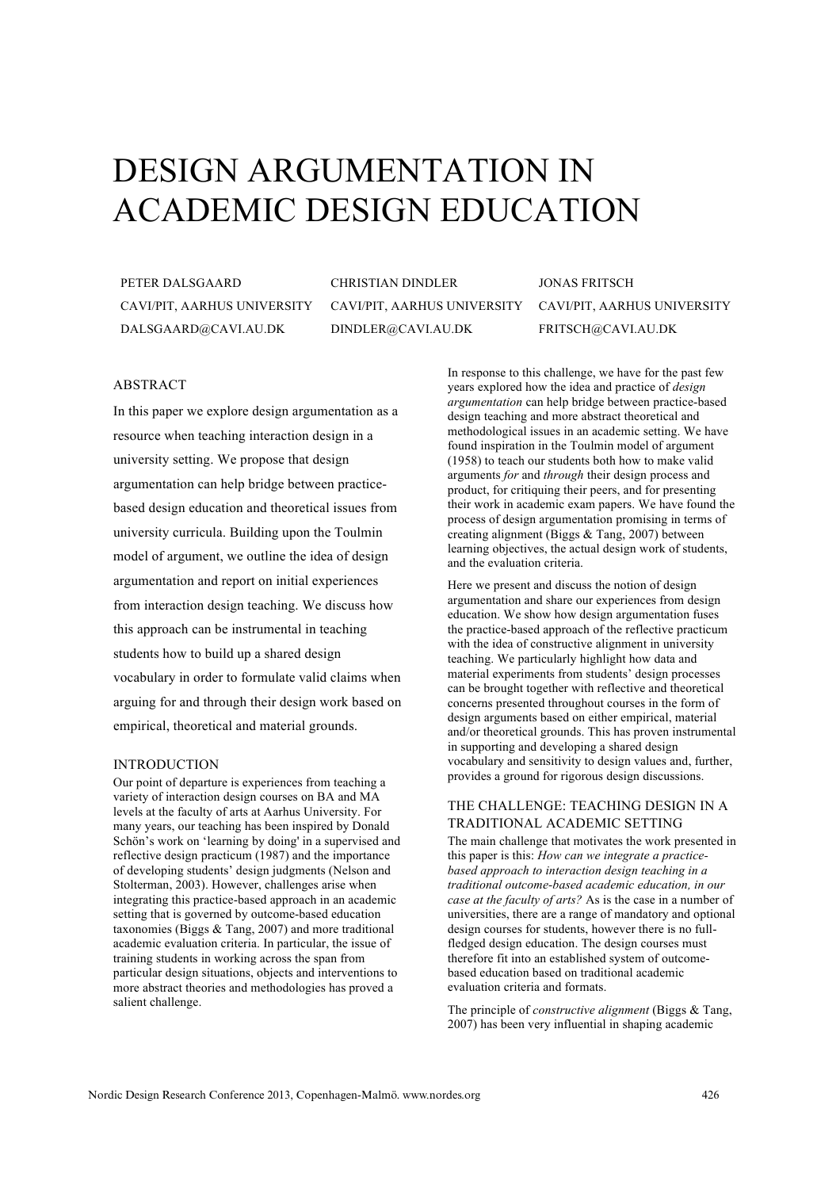# DESIGN ARGUMENTATION IN ACADEMIC DESIGN EDUCATION

PETER DALSGAARD CAVI/PIT, AARHUS UNIVERSITY DALSGAARD@CAVI.AU.DK

CHRISTIAN DINDLER CAVI/PIT, AARHUS UNIVERSITY DINDLER@CAVI.AU.DK

JONAS FRITSCH CAVI/PIT, AARHUS UNIVERSITY FRITSCH@CAVI.AU.DK

## ABSTRACT

In this paper we explore design argumentation as a resource when teaching interaction design in a university setting. We propose that design argumentation can help bridge between practicebased design education and theoretical issues from university curricula. Building upon the Toulmin model of argument, we outline the idea of design argumentation and report on initial experiences from interaction design teaching. We discuss how this approach can be instrumental in teaching students how to build up a shared design vocabulary in order to formulate valid claims when arguing for and through their design work based on empirical, theoretical and material grounds.

## INTRODUCTION

Our point of departure is experiences from teaching a variety of interaction design courses on BA and MA levels at the faculty of arts at Aarhus University. For many years, our teaching has been inspired by Donald Schön's work on 'learning by doing' in a supervised and reflective design practicum (1987) and the importance of developing students' design judgments (Nelson and Stolterman, 2003). However, challenges arise when integrating this practice-based approach in an academic setting that is governed by outcome-based education taxonomies (Biggs & Tang, 2007) and more traditional academic evaluation criteria. In particular, the issue of training students in working across the span from particular design situations, objects and interventions to more abstract theories and methodologies has proved a salient challenge.

In response to this challenge, we have for the past few years explored how the idea and practice of *design argumentation* can help bridge between practice-based design teaching and more abstract theoretical and methodological issues in an academic setting. We have found inspiration in the Toulmin model of argument (1958) to teach our students both how to make valid arguments *for* and *through* their design process and product, for critiquing their peers, and for presenting their work in academic exam papers. We have found the process of design argumentation promising in terms of creating alignment (Biggs & Tang, 2007) between learning objectives, the actual design work of students, and the evaluation criteria.

Here we present and discuss the notion of design argumentation and share our experiences from design education. We show how design argumentation fuses the practice-based approach of the reflective practicum with the idea of constructive alignment in university teaching. We particularly highlight how data and material experiments from students' design processes can be brought together with reflective and theoretical concerns presented throughout courses in the form of design arguments based on either empirical, material and/or theoretical grounds. This has proven instrumental in supporting and developing a shared design vocabulary and sensitivity to design values and, further, provides a ground for rigorous design discussions.

# THE CHALLENGE: TEACHING DESIGN IN A TRADITIONAL ACADEMIC SETTING

The main challenge that motivates the work presented in this paper is this: *How can we integrate a practicebased approach to interaction design teaching in a traditional outcome-based academic education, in our case at the faculty of arts?* As is the case in a number of universities, there are a range of mandatory and optional design courses for students, however there is no fullfledged design education. The design courses must therefore fit into an established system of outcomebased education based on traditional academic evaluation criteria and formats.

The principle of *constructive alignment* (Biggs & Tang, 2007) has been very influential in shaping academic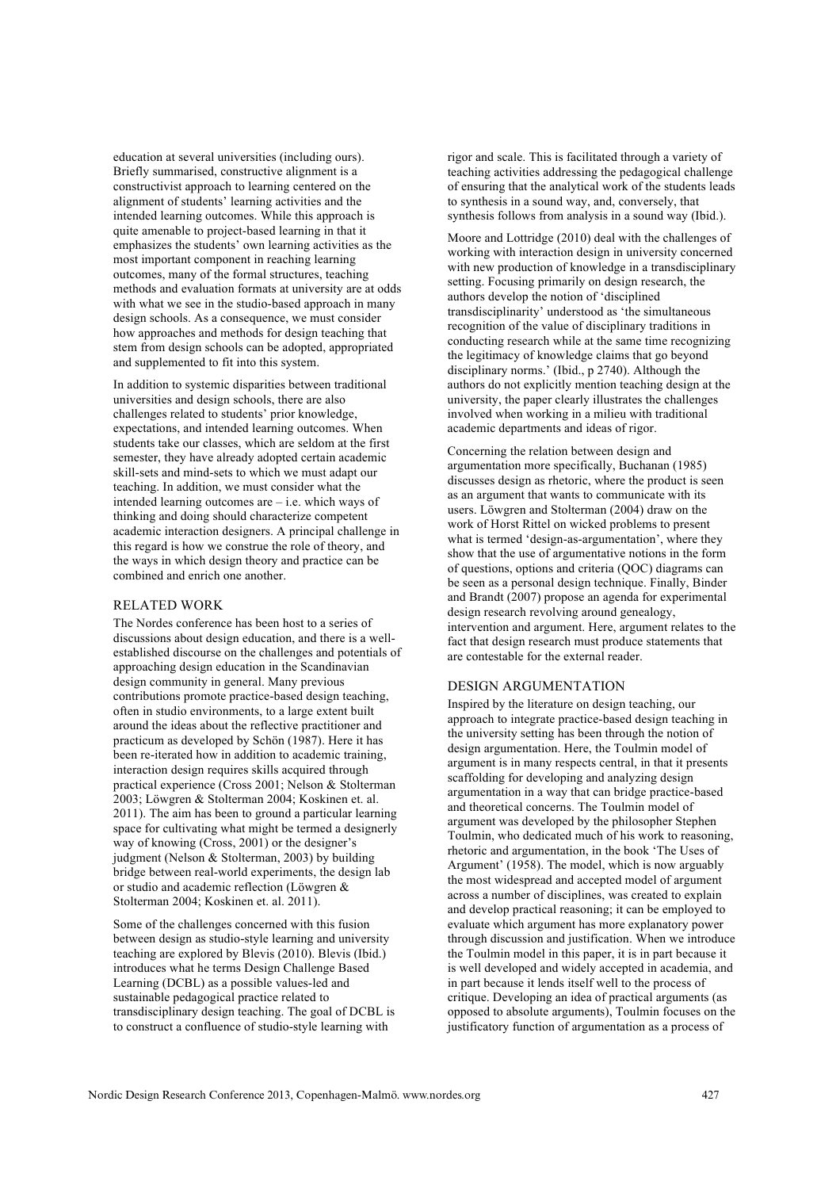education at several universities (including ours). Briefly summarised, constructive alignment is a constructivist approach to learning centered on the alignment of students' learning activities and the intended learning outcomes. While this approach is quite amenable to project-based learning in that it emphasizes the students' own learning activities as the most important component in reaching learning outcomes, many of the formal structures, teaching methods and evaluation formats at university are at odds with what we see in the studio-based approach in many design schools. As a consequence, we must consider how approaches and methods for design teaching that stem from design schools can be adopted, appropriated and supplemented to fit into this system.

In addition to systemic disparities between traditional universities and design schools, there are also challenges related to students' prior knowledge, expectations, and intended learning outcomes. When students take our classes, which are seldom at the first semester, they have already adopted certain academic skill-sets and mind-sets to which we must adapt our teaching. In addition, we must consider what the intended learning outcomes are – i.e. which ways of thinking and doing should characterize competent academic interaction designers. A principal challenge in this regard is how we construe the role of theory, and the ways in which design theory and practice can be combined and enrich one another.

#### RELATED WORK

The Nordes conference has been host to a series of discussions about design education, and there is a wellestablished discourse on the challenges and potentials of approaching design education in the Scandinavian design community in general. Many previous contributions promote practice-based design teaching, often in studio environments, to a large extent built around the ideas about the reflective practitioner and practicum as developed by Schön (1987). Here it has been re-iterated how in addition to academic training, interaction design requires skills acquired through practical experience (Cross 2001; Nelson & Stolterman 2003; Löwgren & Stolterman 2004; Koskinen et. al. 2011). The aim has been to ground a particular learning space for cultivating what might be termed a designerly way of knowing (Cross, 2001) or the designer's judgment (Nelson & Stolterman, 2003) by building bridge between real-world experiments, the design lab or studio and academic reflection (Löwgren & Stolterman 2004; Koskinen et. al. 2011).

Some of the challenges concerned with this fusion between design as studio-style learning and university teaching are explored by Blevis (2010). Blevis (Ibid.) introduces what he terms Design Challenge Based Learning (DCBL) as a possible values-led and sustainable pedagogical practice related to transdisciplinary design teaching. The goal of DCBL is to construct a confluence of studio-style learning with

rigor and scale. This is facilitated through a variety of teaching activities addressing the pedagogical challenge of ensuring that the analytical work of the students leads to synthesis in a sound way, and, conversely, that synthesis follows from analysis in a sound way (Ibid.).

Moore and Lottridge (2010) deal with the challenges of working with interaction design in university concerned with new production of knowledge in a transdisciplinary setting. Focusing primarily on design research, the authors develop the notion of 'disciplined transdisciplinarity' understood as 'the simultaneous recognition of the value of disciplinary traditions in conducting research while at the same time recognizing the legitimacy of knowledge claims that go beyond disciplinary norms.' (Ibid., p 2740). Although the authors do not explicitly mention teaching design at the university, the paper clearly illustrates the challenges involved when working in a milieu with traditional academic departments and ideas of rigor.

Concerning the relation between design and argumentation more specifically, Buchanan (1985) discusses design as rhetoric, where the product is seen as an argument that wants to communicate with its users. Löwgren and Stolterman (2004) draw on the work of Horst Rittel on wicked problems to present what is termed 'design-as-argumentation', where they show that the use of argumentative notions in the form of questions, options and criteria (QOC) diagrams can be seen as a personal design technique. Finally, Binder and Brandt (2007) propose an agenda for experimental design research revolving around genealogy, intervention and argument. Here, argument relates to the fact that design research must produce statements that are contestable for the external reader.

## DESIGN ARGUMENTATION

Inspired by the literature on design teaching, our approach to integrate practice-based design teaching in the university setting has been through the notion of design argumentation. Here, the Toulmin model of argument is in many respects central, in that it presents scaffolding for developing and analyzing design argumentation in a way that can bridge practice-based and theoretical concerns. The Toulmin model of argument was developed by the philosopher Stephen Toulmin, who dedicated much of his work to reasoning, rhetoric and argumentation, in the book 'The Uses of Argument' (1958). The model, which is now arguably the most widespread and accepted model of argument across a number of disciplines, was created to explain and develop practical reasoning; it can be employed to evaluate which argument has more explanatory power through discussion and justification. When we introduce the Toulmin model in this paper, it is in part because it is well developed and widely accepted in academia, and in part because it lends itself well to the process of critique. Developing an idea of practical arguments (as opposed to absolute arguments), Toulmin focuses on the justificatory function of argumentation as a process of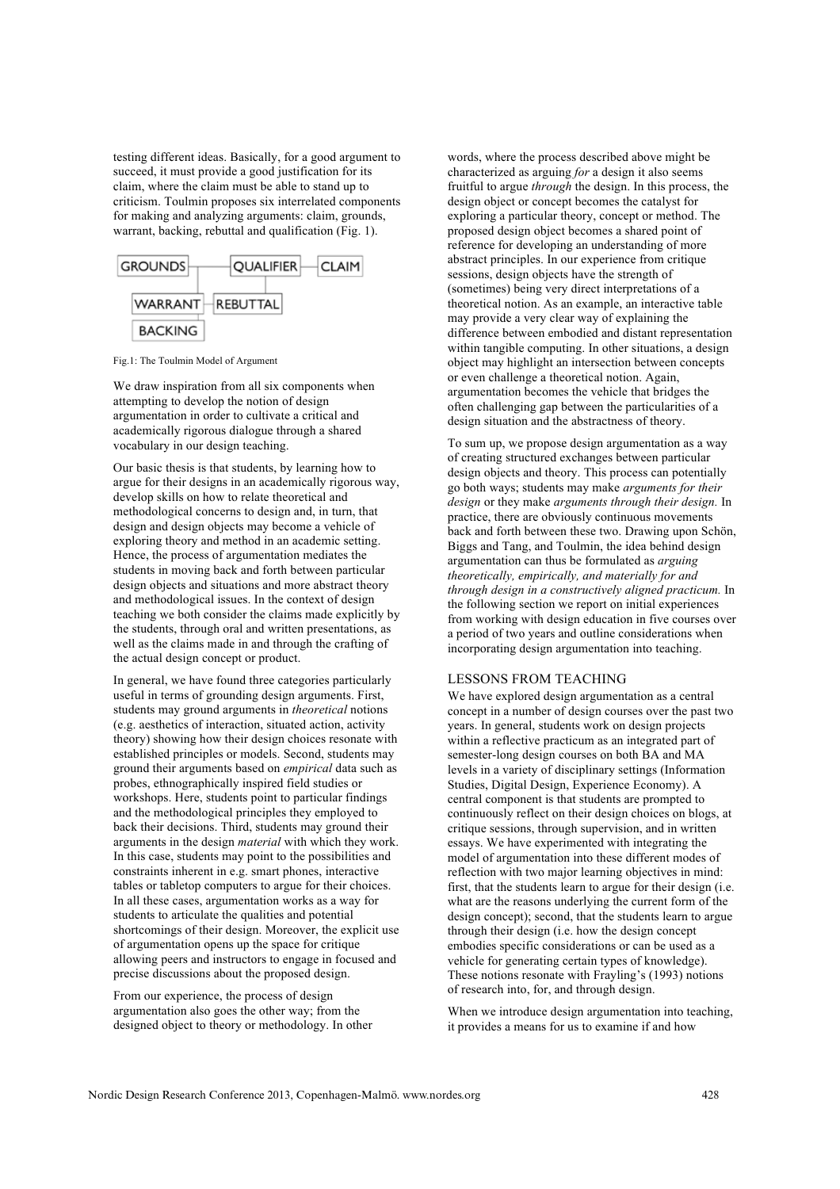testing different ideas. Basically, for a good argument to succeed, it must provide a good justification for its claim, where the claim must be able to stand up to criticism. Toulmin proposes six interrelated components for making and analyzing arguments: claim, grounds, warrant, backing, rebuttal and qualification (Fig. 1).



Fig.1: The Toulmin Model of Argument

We draw inspiration from all six components when attempting to develop the notion of design argumentation in order to cultivate a critical and academically rigorous dialogue through a shared vocabulary in our design teaching.

Our basic thesis is that students, by learning how to argue for their designs in an academically rigorous way, develop skills on how to relate theoretical and methodological concerns to design and, in turn, that design and design objects may become a vehicle of exploring theory and method in an academic setting. Hence, the process of argumentation mediates the students in moving back and forth between particular design objects and situations and more abstract theory and methodological issues. In the context of design teaching we both consider the claims made explicitly by the students, through oral and written presentations, as well as the claims made in and through the crafting of the actual design concept or product.

In general, we have found three categories particularly useful in terms of grounding design arguments. First, students may ground arguments in *theoretical* notions (e.g. aesthetics of interaction, situated action, activity theory) showing how their design choices resonate with established principles or models. Second, students may ground their arguments based on *empirical* data such as probes, ethnographically inspired field studies or workshops. Here, students point to particular findings and the methodological principles they employed to back their decisions. Third, students may ground their arguments in the design *material* with which they work. In this case, students may point to the possibilities and constraints inherent in e.g. smart phones, interactive tables or tabletop computers to argue for their choices. In all these cases, argumentation works as a way for students to articulate the qualities and potential shortcomings of their design. Moreover, the explicit use of argumentation opens up the space for critique allowing peers and instructors to engage in focused and precise discussions about the proposed design.

From our experience, the process of design argumentation also goes the other way; from the designed object to theory or methodology. In other words, where the process described above might be characterized as arguing *for* a design it also seems fruitful to argue *through* the design. In this process, the design object or concept becomes the catalyst for exploring a particular theory, concept or method. The proposed design object becomes a shared point of reference for developing an understanding of more abstract principles. In our experience from critique sessions, design objects have the strength of (sometimes) being very direct interpretations of a theoretical notion. As an example, an interactive table may provide a very clear way of explaining the difference between embodied and distant representation within tangible computing. In other situations, a design object may highlight an intersection between concepts or even challenge a theoretical notion. Again, argumentation becomes the vehicle that bridges the often challenging gap between the particularities of a design situation and the abstractness of theory.

To sum up, we propose design argumentation as a way of creating structured exchanges between particular design objects and theory. This process can potentially go both ways; students may make *arguments for their design* or they make *arguments through their design.* In practice, there are obviously continuous movements back and forth between these two. Drawing upon Schön, Biggs and Tang, and Toulmin, the idea behind design argumentation can thus be formulated as *arguing theoretically, empirically, and materially for and through design in a constructively aligned practicum.* In the following section we report on initial experiences from working with design education in five courses over a period of two years and outline considerations when incorporating design argumentation into teaching.

# LESSONS FROM TEACHING

We have explored design argumentation as a central concept in a number of design courses over the past two years. In general, students work on design projects within a reflective practicum as an integrated part of semester-long design courses on both BA and MA levels in a variety of disciplinary settings (Information Studies, Digital Design, Experience Economy). A central component is that students are prompted to continuously reflect on their design choices on blogs, at critique sessions, through supervision, and in written essays. We have experimented with integrating the model of argumentation into these different modes of reflection with two major learning objectives in mind: first, that the students learn to argue for their design (i.e. what are the reasons underlying the current form of the design concept); second, that the students learn to argue through their design (i.e. how the design concept embodies specific considerations or can be used as a vehicle for generating certain types of knowledge). These notions resonate with Frayling's (1993) notions of research into, for, and through design.

When we introduce design argumentation into teaching, it provides a means for us to examine if and how